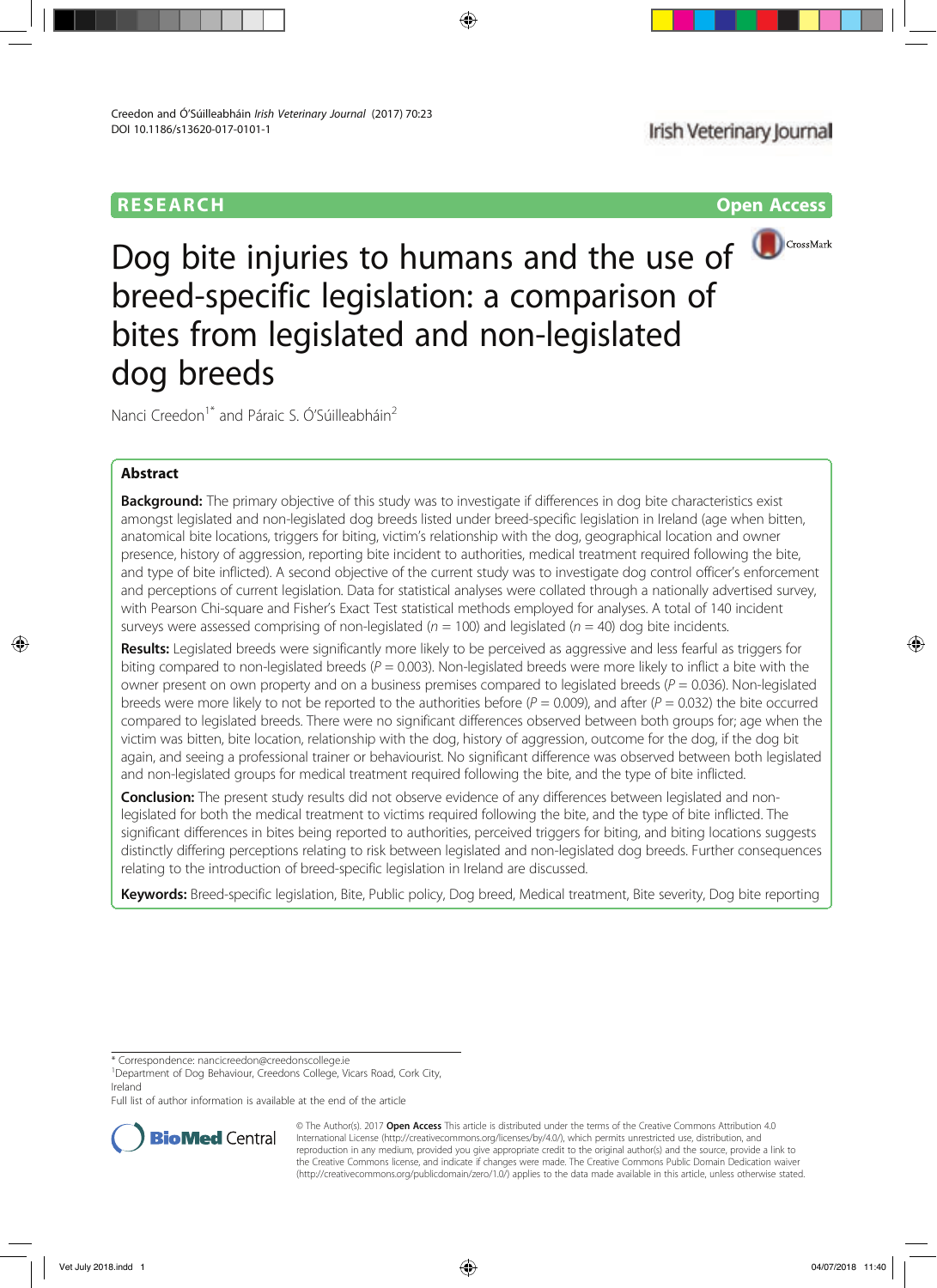# RESEARCH Open Access



Dog bite injuries to humans and the use of breed-specific legislation: a comparison of bites from legislated and non-legislated dog breeds

Nanci Creedon<sup>1\*</sup> and Páraic S. Ó'Súilleabháin<sup>2</sup>

# Abstract

Background: The primary objective of this study was to investigate if differences in dog bite characteristics exist amongst legislated and non-legislated dog breeds listed under breed-specific legislation in Ireland (age when bitten, anatomical bite locations, triggers for biting, victim's relationship with the dog, geographical location and owner presence, history of aggression, reporting bite incident to authorities, medical treatment required following the bite, and type of bite inflicted). A second objective of the current study was to investigate dog control officer's enforcement and perceptions of current legislation. Data for statistical analyses were collated through a nationally advertised survey, with Pearson Chi-square and Fisher's Exact Test statistical methods employed for analyses. A total of 140 incident surveys were assessed comprising of non-legislated ( $n = 100$ ) and legislated ( $n = 40$ ) dog bite incidents.

Results: Legislated breeds were significantly more likely to be perceived as aggressive and less fearful as triggers for biting compared to non-legislated breeds ( $P = 0.003$ ). Non-legislated breeds were more likely to inflict a bite with the owner present on own property and on a business premises compared to legislated breeds ( $P = 0.036$ ). Non-legislated breeds were more likely to not be reported to the authorities before ( $P = 0.009$ ), and after ( $P = 0.032$ ) the bite occurred compared to legislated breeds. There were no significant differences observed between both groups for; age when the victim was bitten, bite location, relationship with the dog, history of aggression, outcome for the dog, if the dog bit again, and seeing a professional trainer or behaviourist. No significant difference was observed between both legislated and non-legislated groups for medical treatment required following the bite, and the type of bite inflicted.

Conclusion: The present study results did not observe evidence of any differences between legislated and nonlegislated for both the medical treatment to victims required following the bite, and the type of bite inflicted. The significant differences in bites being reported to authorities, perceived triggers for biting, and biting locations suggests distinctly differing perceptions relating to risk between legislated and non-legislated dog breeds. Further consequences relating to the introduction of breed-specific legislation in Ireland are discussed.

Keywords: Breed-specific legislation, Bite, Public policy, Dog breed, Medical treatment, Bite severity, Dog bite reporting

\* Correspondence: nancicreedon@creedonscollege.ie <sup>1</sup>

<sup>1</sup>Department of Dog Behaviour, Creedons College, Vicars Road, Cork City, Ireland

Full list of author information is available at the end of the article



© The Author(s). 2017 Open Access This article is distributed under the terms of the Creative Commons Attribution 4.0 International License (http://creativecommons.org/licenses/by/4.0/), which permits unrestricted use, distribution, and reproduction in any medium, provided you give appropriate credit to the original author(s) and the source, provide a link to the Creative Commons license, and indicate if changes were made. The Creative Commons Public Domain Dedication waiver (http://creativecommons.org/publicdomain/zero/1.0/) applies to the data made available in this article, unless otherwise stated.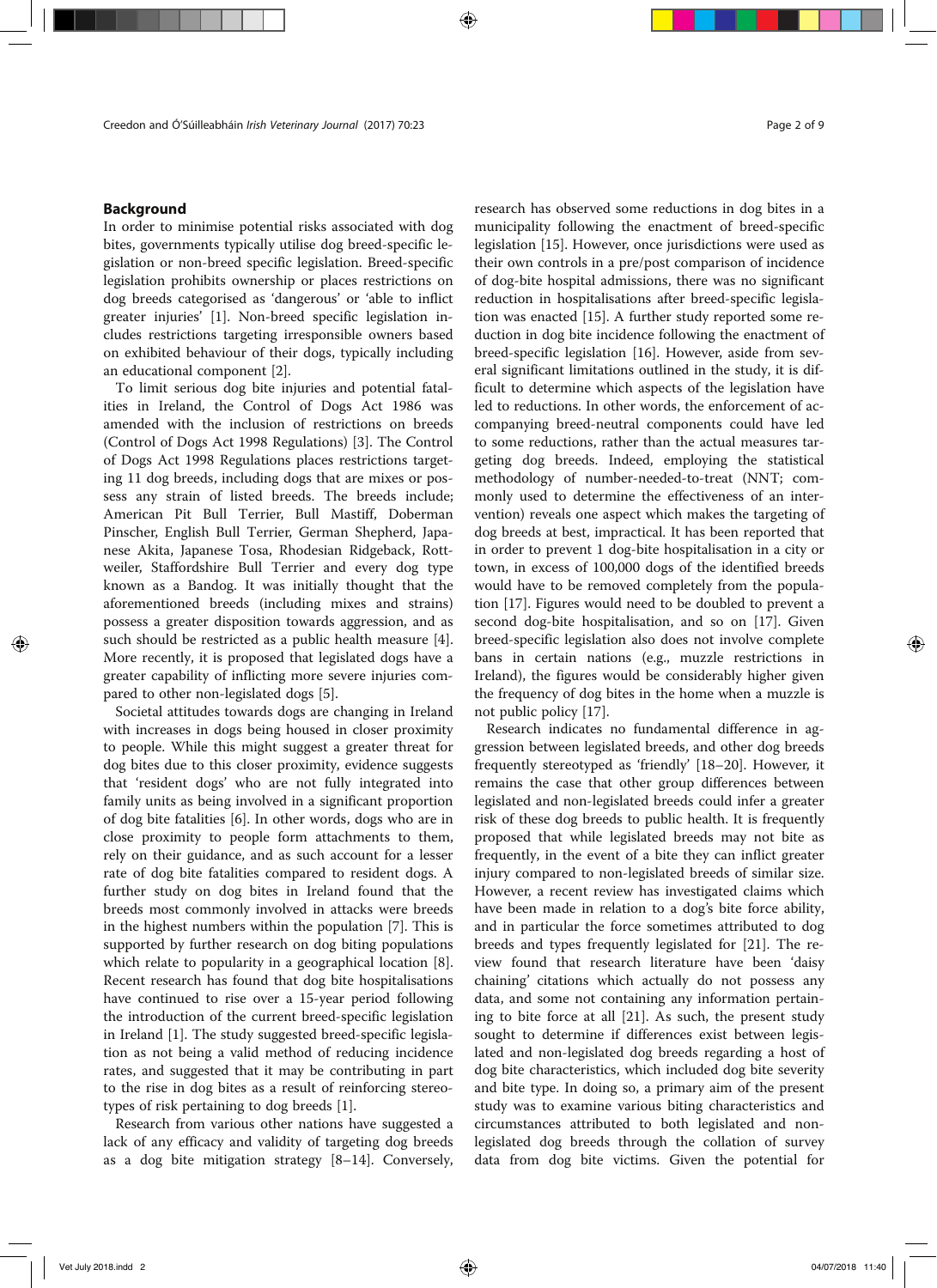### Background

In order to minimise potential risks associated with dog bites, governments typically utilise dog breed-specific legislation or non-breed specific legislation. Breed-specific legislation prohibits ownership or places restrictions on dog breeds categorised as 'dangerous' or 'able to inflict greater injuries' [1]. Non-breed specific legislation includes restrictions targeting irresponsible owners based on exhibited behaviour of their dogs, typically including an educational component [2].

To limit serious dog bite injuries and potential fatalities in Ireland, the Control of Dogs Act 1986 was amended with the inclusion of restrictions on breeds (Control of Dogs Act 1998 Regulations) [3]. The Control of Dogs Act 1998 Regulations places restrictions targeting 11 dog breeds, including dogs that are mixes or possess any strain of listed breeds. The breeds include; American Pit Bull Terrier, Bull Mastiff, Doberman Pinscher, English Bull Terrier, German Shepherd, Japanese Akita, Japanese Tosa, Rhodesian Ridgeback, Rottweiler, Staffordshire Bull Terrier and every dog type known as a Bandog. It was initially thought that the aforementioned breeds (including mixes and strains) possess a greater disposition towards aggression, and as such should be restricted as a public health measure [4]. More recently, it is proposed that legislated dogs have a greater capability of inflicting more severe injuries compared to other non-legislated dogs [5].

Societal attitudes towards dogs are changing in Ireland with increases in dogs being housed in closer proximity to people. While this might suggest a greater threat for dog bites due to this closer proximity, evidence suggests that 'resident dogs' who are not fully integrated into family units as being involved in a significant proportion of dog bite fatalities [6]. In other words, dogs who are in close proximity to people form attachments to them, rely on their guidance, and as such account for a lesser rate of dog bite fatalities compared to resident dogs. A further study on dog bites in Ireland found that the breeds most commonly involved in attacks were breeds in the highest numbers within the population [7]. This is supported by further research on dog biting populations which relate to popularity in a geographical location [8]. Recent research has found that dog bite hospitalisations have continued to rise over a 15-year period following the introduction of the current breed-specific legislation in Ireland [1]. The study suggested breed-specific legislation as not being a valid method of reducing incidence rates, and suggested that it may be contributing in part to the rise in dog bites as a result of reinforcing stereotypes of risk pertaining to dog breeds [1].

Research from various other nations have suggested a lack of any efficacy and validity of targeting dog breeds as a dog bite mitigation strategy [8–14]. Conversely,

research has observed some reductions in dog bites in a municipality following the enactment of breed-specific legislation [15]. However, once jurisdictions were used as their own controls in a pre/post comparison of incidence of dog-bite hospital admissions, there was no significant reduction in hospitalisations after breed-specific legislation was enacted [15]. A further study reported some reduction in dog bite incidence following the enactment of breed-specific legislation [16]. However, aside from several significant limitations outlined in the study, it is difficult to determine which aspects of the legislation have led to reductions. In other words, the enforcement of accompanying breed-neutral components could have led to some reductions, rather than the actual measures targeting dog breeds. Indeed, employing the statistical methodology of number-needed-to-treat (NNT; commonly used to determine the effectiveness of an intervention) reveals one aspect which makes the targeting of dog breeds at best, impractical. It has been reported that in order to prevent 1 dog-bite hospitalisation in a city or town, in excess of 100,000 dogs of the identified breeds would have to be removed completely from the population [17]. Figures would need to be doubled to prevent a second dog-bite hospitalisation, and so on [17]. Given breed-specific legislation also does not involve complete bans in certain nations (e.g., muzzle restrictions in Ireland), the figures would be considerably higher given the frequency of dog bites in the home when a muzzle is not public policy [17].

Research indicates no fundamental difference in aggression between legislated breeds, and other dog breeds frequently stereotyped as 'friendly' [18–20]. However, it remains the case that other group differences between legislated and non-legislated breeds could infer a greater risk of these dog breeds to public health. It is frequently proposed that while legislated breeds may not bite as frequently, in the event of a bite they can inflict greater injury compared to non-legislated breeds of similar size. However, a recent review has investigated claims which have been made in relation to a dog's bite force ability, and in particular the force sometimes attributed to dog breeds and types frequently legislated for [21]. The review found that research literature have been 'daisy chaining' citations which actually do not possess any data, and some not containing any information pertaining to bite force at all [21]. As such, the present study sought to determine if differences exist between legislated and non-legislated dog breeds regarding a host of dog bite characteristics, which included dog bite severity and bite type. In doing so, a primary aim of the present study was to examine various biting characteristics and circumstances attributed to both legislated and nonlegislated dog breeds through the collation of survey data from dog bite victims. Given the potential for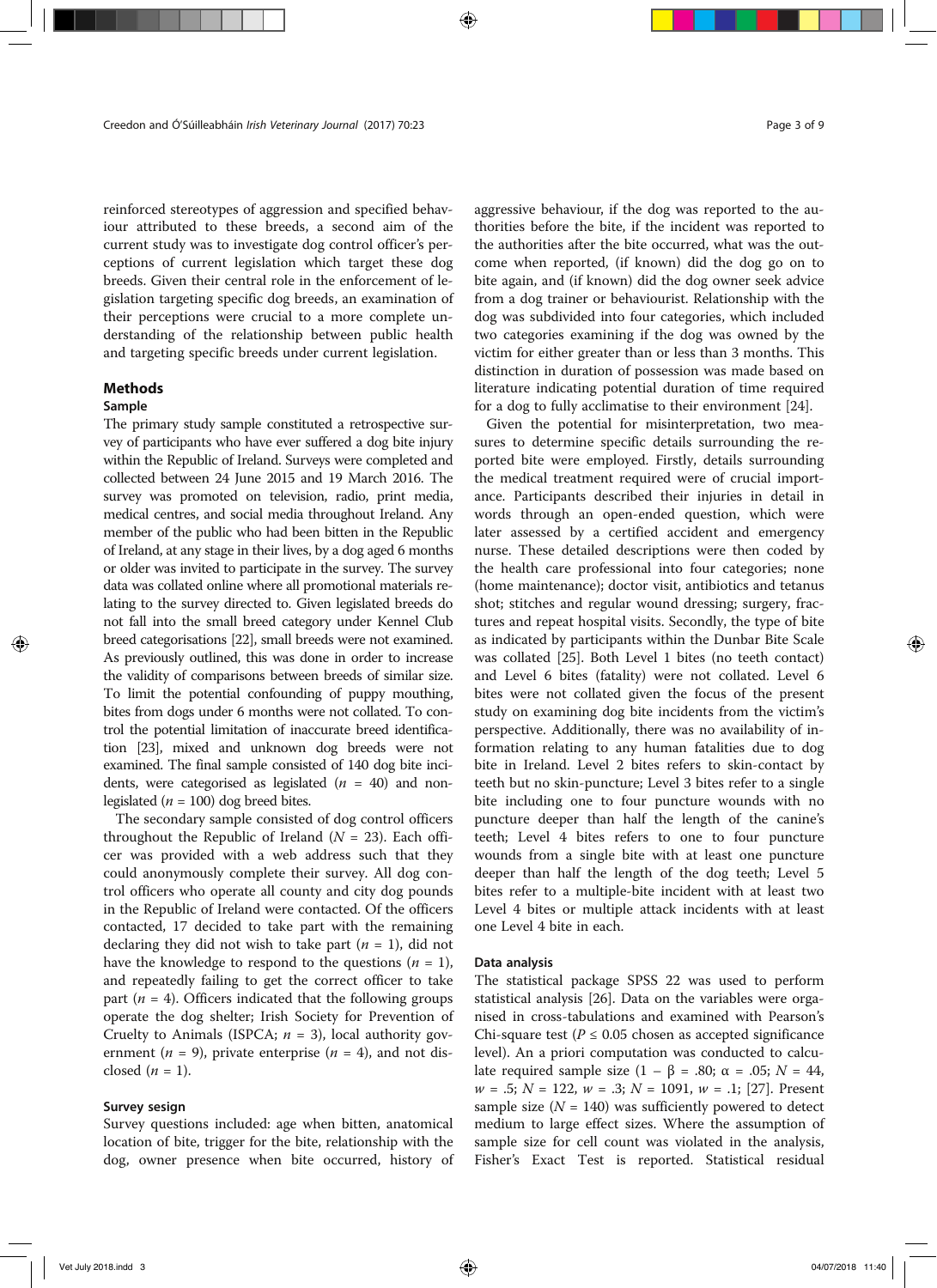reinforced stereotypes of aggression and specified behaviour attributed to these breeds, a second aim of the current study was to investigate dog control officer's perceptions of current legislation which target these dog breeds. Given their central role in the enforcement of legislation targeting specific dog breeds, an examination of their perceptions were crucial to a more complete understanding of the relationship between public health and targeting specific breeds under current legislation.

### Methods

### Sample

The primary study sample constituted a retrospective survey of participants who have ever suffered a dog bite injury within the Republic of Ireland. Surveys were completed and collected between 24 June 2015 and 19 March 2016. The survey was promoted on television, radio, print media, medical centres, and social media throughout Ireland. Any member of the public who had been bitten in the Republic of Ireland, at any stage in their lives, by a dog aged 6 months or older was invited to participate in the survey. The survey data was collated online where all promotional materials relating to the survey directed to. Given legislated breeds do not fall into the small breed category under Kennel Club breed categorisations [22], small breeds were not examined. As previously outlined, this was done in order to increase the validity of comparisons between breeds of similar size. To limit the potential confounding of puppy mouthing, bites from dogs under 6 months were not collated. To control the potential limitation of inaccurate breed identification [23], mixed and unknown dog breeds were not examined. The final sample consisted of 140 dog bite incidents, were categorised as legislated  $(n = 40)$  and nonlegislated ( $n = 100$ ) dog breed bites.

The secondary sample consisted of dog control officers throughout the Republic of Ireland ( $N = 23$ ). Each officer was provided with a web address such that they could anonymously complete their survey. All dog control officers who operate all county and city dog pounds in the Republic of Ireland were contacted. Of the officers contacted, 17 decided to take part with the remaining declaring they did not wish to take part  $(n = 1)$ , did not have the knowledge to respond to the questions  $(n = 1)$ , and repeatedly failing to get the correct officer to take part ( $n = 4$ ). Officers indicated that the following groups operate the dog shelter; Irish Society for Prevention of Cruelty to Animals (ISPCA;  $n = 3$ ), local authority government ( $n = 9$ ), private enterprise ( $n = 4$ ), and not disclosed  $(n = 1)$ .

### Survey sesign

Survey questions included: age when bitten, anatomical location of bite, trigger for the bite, relationship with the dog, owner presence when bite occurred, history of

aggressive behaviour, if the dog was reported to the authorities before the bite, if the incident was reported to the authorities after the bite occurred, what was the outcome when reported, (if known) did the dog go on to bite again, and (if known) did the dog owner seek advice from a dog trainer or behaviourist. Relationship with the dog was subdivided into four categories, which included two categories examining if the dog was owned by the victim for either greater than or less than 3 months. This distinction in duration of possession was made based on literature indicating potential duration of time required for a dog to fully acclimatise to their environment [24].

Given the potential for misinterpretation, two measures to determine specific details surrounding the reported bite were employed. Firstly, details surrounding the medical treatment required were of crucial importance. Participants described their injuries in detail in words through an open-ended question, which were later assessed by a certified accident and emergency nurse. These detailed descriptions were then coded by the health care professional into four categories; none (home maintenance); doctor visit, antibiotics and tetanus shot; stitches and regular wound dressing; surgery, fractures and repeat hospital visits. Secondly, the type of bite as indicated by participants within the Dunbar Bite Scale was collated [25]. Both Level 1 bites (no teeth contact) and Level 6 bites (fatality) were not collated. Level 6 bites were not collated given the focus of the present study on examining dog bite incidents from the victim's perspective. Additionally, there was no availability of information relating to any human fatalities due to dog bite in Ireland. Level 2 bites refers to skin-contact by teeth but no skin-puncture; Level 3 bites refer to a single bite including one to four puncture wounds with no puncture deeper than half the length of the canine's teeth; Level 4 bites refers to one to four puncture wounds from a single bite with at least one puncture deeper than half the length of the dog teeth; Level 5 bites refer to a multiple-bite incident with at least two Level 4 bites or multiple attack incidents with at least one Level 4 bite in each.

#### Data analysis

The statistical package SPSS 22 was used to perform statistical analysis [26]. Data on the variables were organised in cross-tabulations and examined with Pearson's Chi-square test ( $P \le 0.05$  chosen as accepted significance level). An a priori computation was conducted to calculate required sample size  $(1 - \beta = .80; \alpha = .05; N = 44,$  $w = .5; N = 122, w = .3; N = 1091, w = .1; [27].$  Present sample size ( $N = 140$ ) was sufficiently powered to detect medium to large effect sizes. Where the assumption of sample size for cell count was violated in the analysis, Fisher's Exact Test is reported. Statistical residual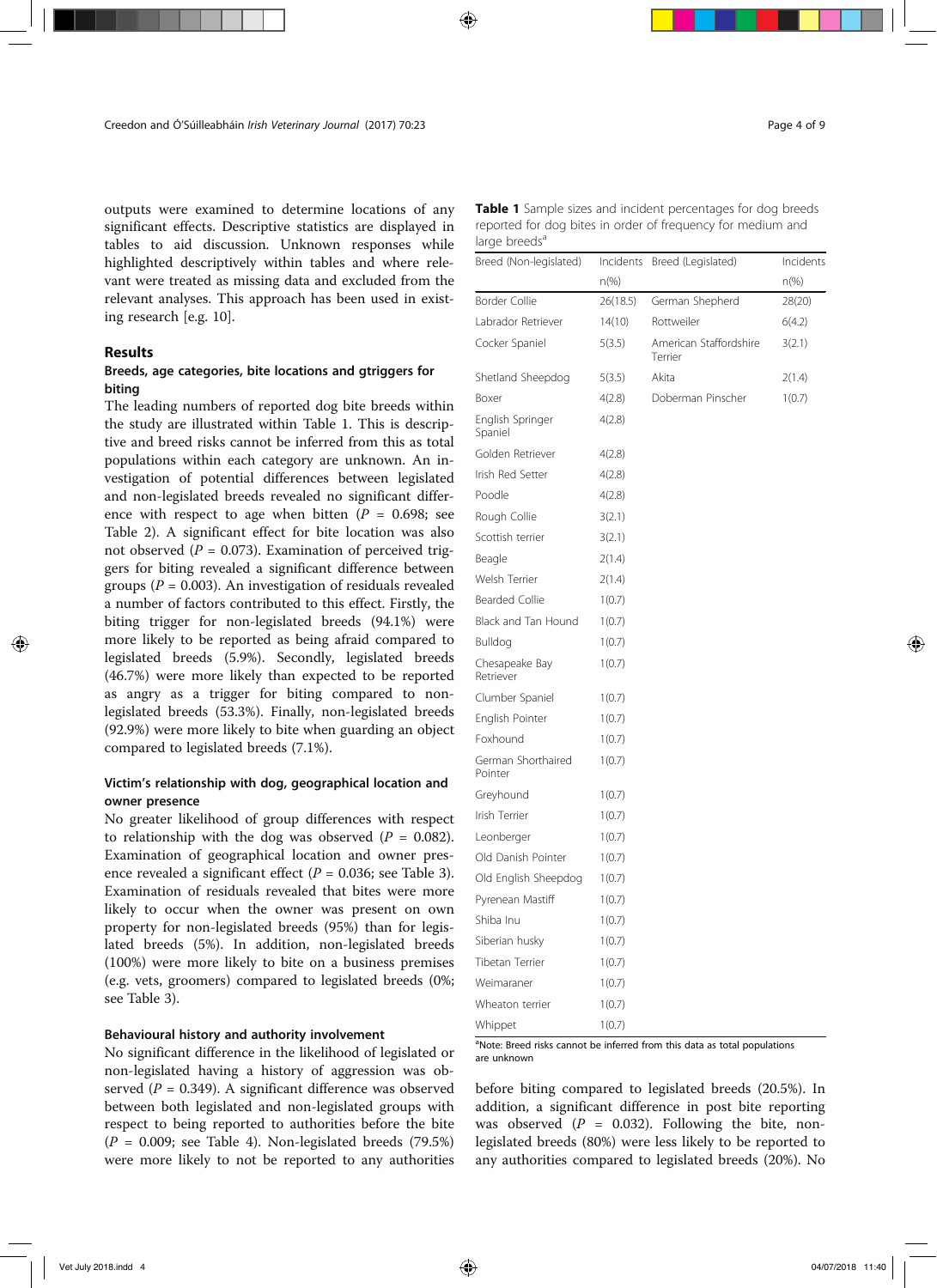outputs were examined to determine locations of any significant effects. Descriptive statistics are displayed in tables to aid discussion. Unknown responses while highlighted descriptively within tables and where relevant were treated as missing data and excluded from the relevant analyses. This approach has been used in existing research [e.g. 10].

### **Results**

### Breeds, age categories, bite locations and gtriggers for biting

The leading numbers of reported dog bite breeds within the study are illustrated within Table 1. This is descriptive and breed risks cannot be inferred from this as total populations within each category are unknown. An investigation of potential differences between legislated and non-legislated breeds revealed no significant difference with respect to age when bitten ( $P = 0.698$ ; see Table 2). A significant effect for bite location was also not observed ( $P = 0.073$ ). Examination of perceived triggers for biting revealed a significant difference between groups ( $P = 0.003$ ). An investigation of residuals revealed a number of factors contributed to this effect. Firstly, the biting trigger for non-legislated breeds (94.1%) were more likely to be reported as being afraid compared to legislated breeds (5.9%). Secondly, legislated breeds (46.7%) were more likely than expected to be reported as angry as a trigger for biting compared to nonlegislated breeds (53.3%). Finally, non-legislated breeds (92.9%) were more likely to bite when guarding an object compared to legislated breeds (7.1%).

### Victim's relationship with dog, geographical location and owner presence

No greater likelihood of group differences with respect to relationship with the dog was observed ( $P = 0.082$ ). Examination of geographical location and owner presence revealed a significant effect ( $P = 0.036$ ; see Table 3). Examination of residuals revealed that bites were more likely to occur when the owner was present on own property for non-legislated breeds (95%) than for legislated breeds (5%). In addition, non-legislated breeds (100%) were more likely to bite on a business premises (e.g. vets, groomers) compared to legislated breeds (0%; see Table 3).

### Behavioural history and authority involvement

No significant difference in the likelihood of legislated or non-legislated having a history of aggression was observed ( $P = 0.349$ ). A significant difference was observed between both legislated and non-legislated groups with respect to being reported to authorities before the bite  $(P = 0.009;$  see Table 4). Non-legislated breeds (79.5%) were more likely to not be reported to any authorities

Table 1 Sample sizes and incident percentages for dog breeds reported for dog bites in order of frequency for medium and large breeds<sup>a</sup>

| Breed (Non-legislated)        | Incidents | Breed (Legislated)                | Incidents |
|-------------------------------|-----------|-----------------------------------|-----------|
|                               | $n(\%)$   |                                   | n(%)      |
| <b>Border Collie</b>          | 26(18.5)  | German Shepherd                   | 28(20)    |
| Labrador Retriever            | 14(10)    | Rottweiler                        | 6(4.2)    |
| Cocker Spaniel                | 5(3.5)    | American Staffordshire<br>Terrier | 3(2.1)    |
| Shetland Sheepdog             | 5(3.5)    | Akita                             | 2(1.4)    |
| Boxer                         | 4(2.8)    | Doberman Pinscher                 | 1(0.7)    |
| English Springer<br>Spaniel   | 4(2.8)    |                                   |           |
| Golden Retriever              | 4(2.8)    |                                   |           |
| Irish Red Setter              | 4(2.8)    |                                   |           |
| Poodle                        | 4(2.8)    |                                   |           |
| Rough Collie                  | 3(2.1)    |                                   |           |
| Scottish terrier              | 3(2.1)    |                                   |           |
| Beagle                        | 2(1.4)    |                                   |           |
| Welsh Terrier                 | 2(1.4)    |                                   |           |
| <b>Bearded Collie</b>         | 1(0.7)    |                                   |           |
| Black and Tan Hound           | 1(0.7)    |                                   |           |
| Bulldog                       | 1(0.7)    |                                   |           |
| Chesapeake Bay<br>Retriever   | 1(0.7)    |                                   |           |
| Clumber Spaniel               | 1(0.7)    |                                   |           |
| English Pointer               | 1(0.7)    |                                   |           |
| Foxhound                      | 1(0.7)    |                                   |           |
| German Shorthaired<br>Pointer | 1(0.7)    |                                   |           |
| Greyhound                     | 1(0.7)    |                                   |           |
| Irish Terrier                 | 1(0.7)    |                                   |           |
| Leonberger                    | 1(0.7)    |                                   |           |
| Old Danish Pointer            | 1(0.7)    |                                   |           |
| Old English Sheepdog          | 1(0.7)    |                                   |           |
| Pyrenean Mastiff              | 1(0.7)    |                                   |           |
| Shiba Inu l                   | 1(0.7)    |                                   |           |
| Siberian husky                | 1(0.7)    |                                   |           |
| Tibetan Terrier               | 1(0.7)    |                                   |           |
| Weimaraner                    | 1(0.7)    |                                   |           |
| Wheaton terrier               | 1(0.7)    |                                   |           |
| Whippet                       | 1(0.7)    |                                   |           |

<sup>a</sup>Note: Breed risks cannot be inferred from this data as total populations are unknown

before biting compared to legislated breeds (20.5%). In addition, a significant difference in post bite reporting was observed ( $P = 0.032$ ). Following the bite, nonlegislated breeds (80%) were less likely to be reported to any authorities compared to legislated breeds (20%). No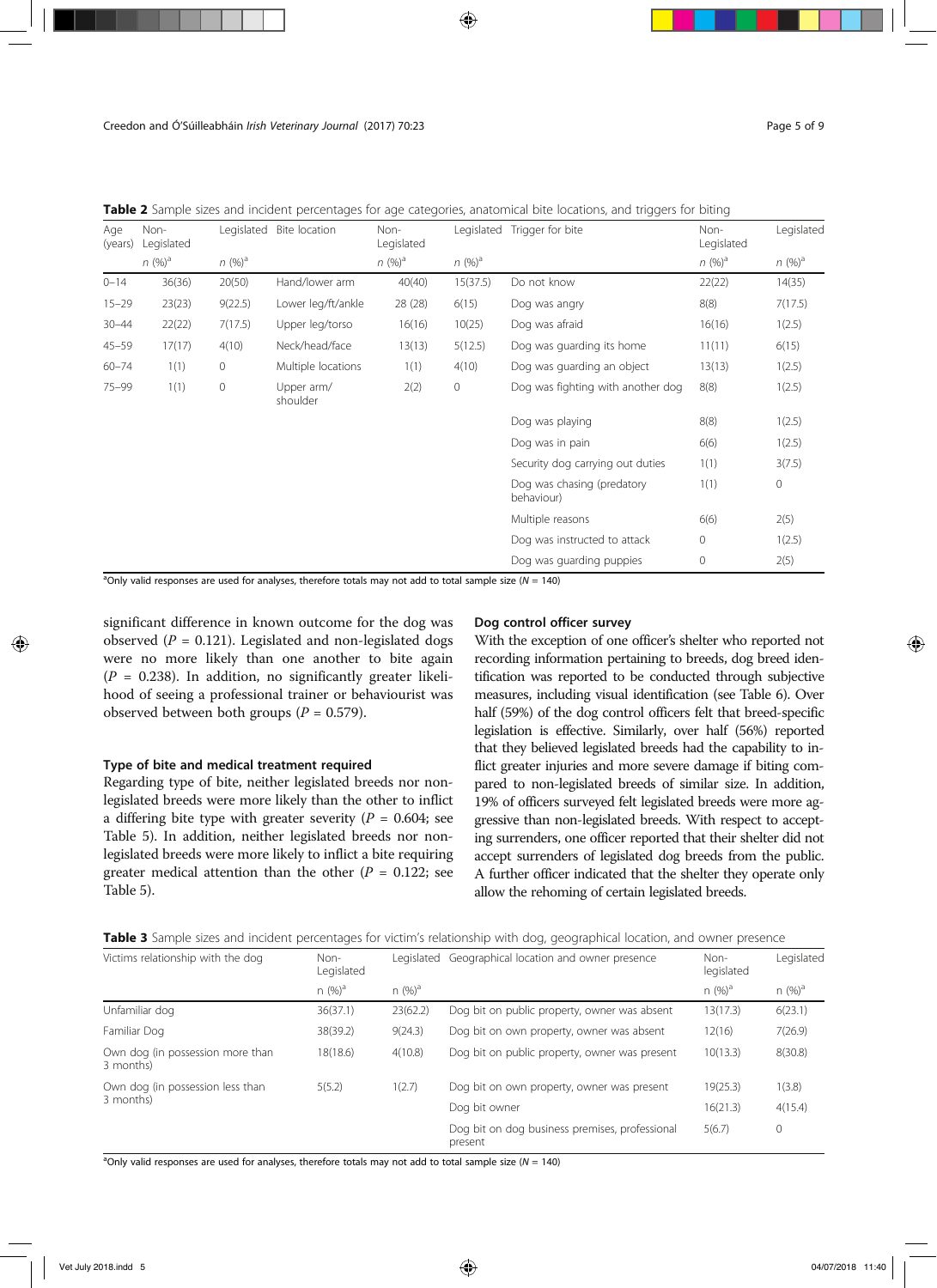| Age<br>(years) | Non-<br>Legislated | Legislated  | Bite location          | Non-<br>Legislated |           | Legislated Trigger for bite              | Non-<br>Legislated | Legislated  |
|----------------|--------------------|-------------|------------------------|--------------------|-----------|------------------------------------------|--------------------|-------------|
|                | $n (%)^a$          | $n (%)^a$   |                        | $n (%)^a$          | $n (%)^a$ |                                          | $n (%)^a$          | $n (%)^a$   |
| $0 - 14$       | 36(36)             | 20(50)      | Hand/lower arm         | 40(40)             | 15(37.5)  | Do not know                              | 22(22)             | 14(35)      |
| $15 - 29$      | 23(23)             | 9(22.5)     | Lower leg/ft/ankle     | 28 (28)            | 6(15)     | Dog was angry                            | 8(8)               | 7(17.5)     |
| $30 - 44$      | 22(22)             | 7(17.5)     | Upper leg/torso        | 16(16)             | 10(25)    | Dog was afraid                           | 16(16)             | 1(2.5)      |
| $45 - 59$      | 17(17)             | 4(10)       | Neck/head/face         | 13(13)             | 5(12.5)   | Dog was guarding its home                | 11(11)             | 6(15)       |
| $60 - 74$      | 1(1)               | 0           | Multiple locations     | 1(1)               | 4(10)     | Dog was guarding an object               | 13(13)             | 1(2.5)      |
| $75 - 99$      | 1(1)               | $\mathbf 0$ | Upper arm/<br>shoulder | 2(2)               | $\circ$   | Dog was fighting with another dog        | 8(8)               | 1(2.5)      |
|                |                    |             |                        |                    |           | Dog was playing                          | 8(8)               | 1(2.5)      |
|                |                    |             |                        |                    |           | Dog was in pain                          | 6(6)               | 1(2.5)      |
|                |                    |             |                        |                    |           | Security dog carrying out duties         | 1(1)               | 3(7.5)      |
|                |                    |             |                        |                    |           | Dog was chasing (predatory<br>behaviour) | 1(1)               | $\mathbf 0$ |
|                |                    |             |                        |                    |           | Multiple reasons                         | 6(6)               | 2(5)        |
|                |                    |             |                        |                    |           | Dog was instructed to attack             | 0                  | 1(2.5)      |
|                |                    |             |                        |                    |           | Dog was guarding puppies                 | 0                  | 2(5)        |

Table 2 Sample sizes and incident percentages for age categories, anatomical bite locations, and triggers for biting

<sup>a</sup>Only valid responses are used for analyses, therefore totals may not add to total sample size ( $N = 140$ )

significant difference in known outcome for the dog was observed ( $P = 0.121$ ). Legislated and non-legislated dogs were no more likely than one another to bite again  $(P = 0.238)$ . In addition, no significantly greater likelihood of seeing a professional trainer or behaviourist was observed between both groups ( $P = 0.579$ ).

### Type of bite and medical treatment required

Regarding type of bite, neither legislated breeds nor nonlegislated breeds were more likely than the other to inflict a differing bite type with greater severity ( $P = 0.604$ ; see Table 5). In addition, neither legislated breeds nor nonlegislated breeds were more likely to inflict a bite requiring greater medical attention than the other  $(P = 0.122)$ ; see Table 5).

### Dog control officer survey

With the exception of one officer's shelter who reported not recording information pertaining to breeds, dog breed identification was reported to be conducted through subjective measures, including visual identification (see Table 6). Over half (59%) of the dog control officers felt that breed-specific legislation is effective. Similarly, over half (56%) reported that they believed legislated breeds had the capability to inflict greater injuries and more severe damage if biting compared to non-legislated breeds of similar size. In addition, 19% of officers surveyed felt legislated breeds were more aggressive than non-legislated breeds. With respect to accepting surrenders, one officer reported that their shelter did not accept surrenders of legislated dog breeds from the public. A further officer indicated that the shelter they operate only allow the rehoming of certain legislated breeds.

| Table 3 Sample sizes and incident percentages for victim's relationship with dog, geographical location, and owner presence |  |  |  |  |
|-----------------------------------------------------------------------------------------------------------------------------|--|--|--|--|
|-----------------------------------------------------------------------------------------------------------------------------|--|--|--|--|

| Victims relationship with the dog             | Non-<br>Legislated |                    | Legislated Geographical location and owner presence       | Non-<br>legislated | Legislated         |
|-----------------------------------------------|--------------------|--------------------|-----------------------------------------------------------|--------------------|--------------------|
|                                               | $n (%)^a$          | n (%) <sup>a</sup> |                                                           | $n (%)^a$          | n (%) <sup>a</sup> |
| Unfamiliar dog                                | 36(37.1)           | 23(62.2)           | Dog bit on public property, owner was absent              | 13(17.3)           | 6(23.1)            |
| Familiar Dog                                  | 38(39.2)           | 9(24.3)            | Dog bit on own property, owner was absent                 | 12(16)             | 7(26.9)            |
| Own dog (in possession more than<br>3 months) | 18(18.6)           | 4(10.8)            | Dog bit on public property, owner was present             | 10(13.3)           | 8(30.8)            |
| Own dog (in possession less than              | 5(5.2)             | 1(2.7)             | Dog bit on own property, owner was present                | 19(25.3)           | 1(3.8)             |
| 3 months)                                     |                    |                    | Dog bit owner                                             | 16(21.3)           | 4(15.4)            |
|                                               |                    |                    | Dog bit on dog business premises, professional<br>present | 5(6.7)             | 0                  |

<sup>a</sup>Only valid responses are used for analyses, therefore totals may not add to total sample size ( $N = 140$ )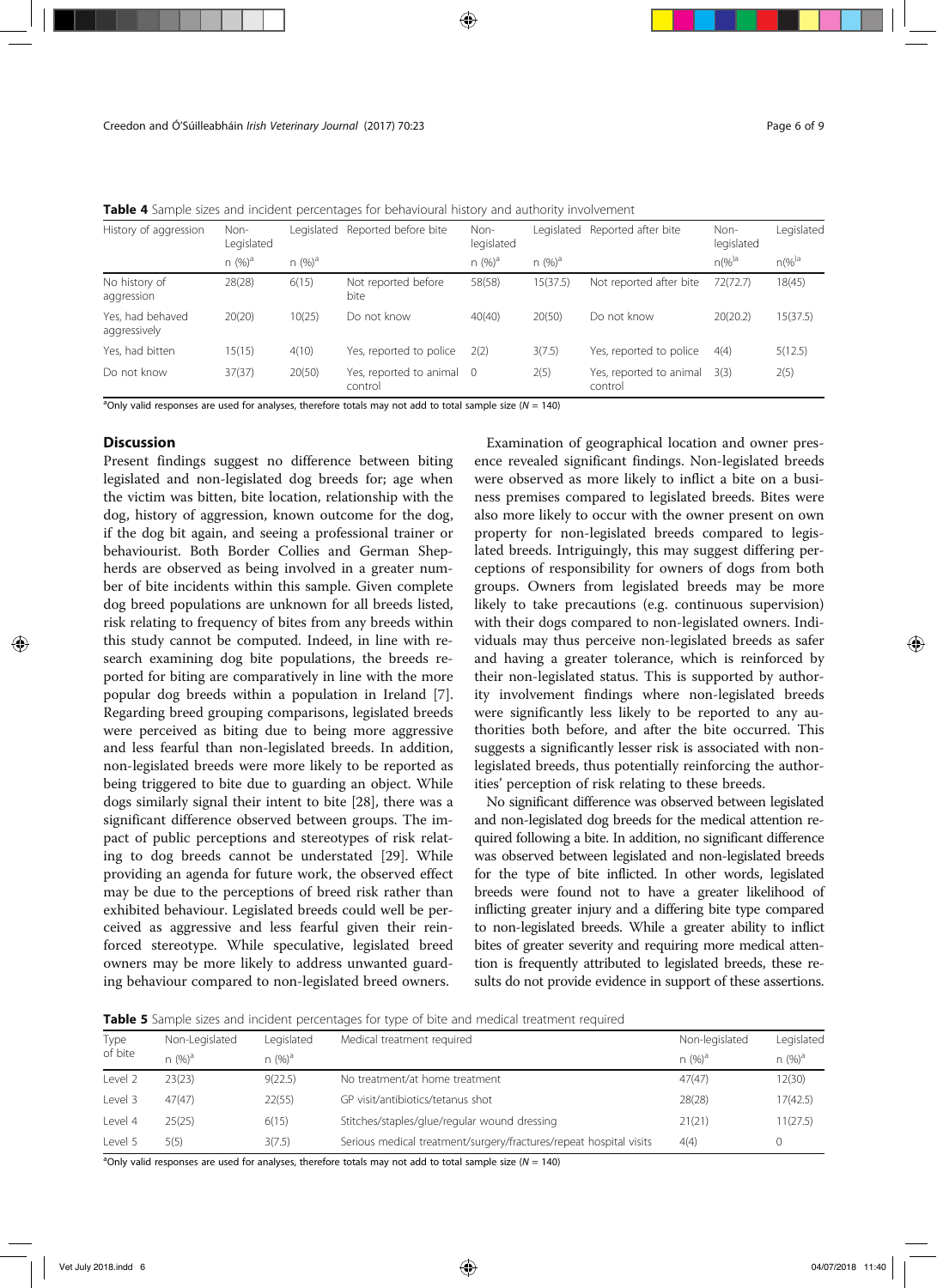|  |  |  |  | Table 4 Sample sizes and incident percentages for behavioural history and authority involvement |
|--|--|--|--|-------------------------------------------------------------------------------------------------|
|--|--|--|--|-------------------------------------------------------------------------------------------------|

| History of aggression            | Non-<br>Legislated | Legislated | Reported before bite               | Non-<br>legislated | Legislated | Reported after bite                | Non-<br>legislated          | Legislated                  |
|----------------------------------|--------------------|------------|------------------------------------|--------------------|------------|------------------------------------|-----------------------------|-----------------------------|
|                                  | $n (%)^a$          | $n (%)^a$  |                                    | n (%) <sup>a</sup> | $n (%)^a$  |                                    | $n\frac{9}{6}$ <sup>a</sup> | $n\frac{9}{6}$ <sup>a</sup> |
| No history of<br>aggression      | 28(28)             | 6(15)      | Not reported before<br>bite        | 58(58)             | 15(37.5)   | Not reported after bite            | 72(72.7)                    | 18(45)                      |
| Yes, had behaved<br>aggressively | 20(20)             | 10(25)     | Do not know                        | 40(40)             | 20(50)     | Do not know                        | 20(20.2)                    | 15(37.5)                    |
| Yes, had bitten                  | 15(15)             | 4(10)      | Yes, reported to police            | 2(2)               | 3(7.5)     | Yes, reported to police            | 4(4)                        | 5(12.5)                     |
| Do not know                      | 37(37)             | 20(50)     | Yes, reported to animal<br>control | - 0                | 2(5)       | Yes, reported to animal<br>control | 3(3)                        | 2(5)                        |

<sup>a</sup>Only valid responses are used for analyses, therefore totals may not add to total sample size ( $N = 140$ )

### Discussion

Present findings suggest no difference between biting legislated and non-legislated dog breeds for; age when the victim was bitten, bite location, relationship with the dog, history of aggression, known outcome for the dog, if the dog bit again, and seeing a professional trainer or behaviourist. Both Border Collies and German Shepherds are observed as being involved in a greater number of bite incidents within this sample. Given complete dog breed populations are unknown for all breeds listed, risk relating to frequency of bites from any breeds within this study cannot be computed. Indeed, in line with research examining dog bite populations, the breeds reported for biting are comparatively in line with the more popular dog breeds within a population in Ireland [7]. Regarding breed grouping comparisons, legislated breeds were perceived as biting due to being more aggressive and less fearful than non-legislated breeds. In addition, non-legislated breeds were more likely to be reported as being triggered to bite due to guarding an object. While dogs similarly signal their intent to bite [28], there was a significant difference observed between groups. The impact of public perceptions and stereotypes of risk relating to dog breeds cannot be understated [29]. While providing an agenda for future work, the observed effect may be due to the perceptions of breed risk rather than exhibited behaviour. Legislated breeds could well be perceived as aggressive and less fearful given their reinforced stereotype. While speculative, legislated breed owners may be more likely to address unwanted guarding behaviour compared to non-legislated breed owners.

Examination of geographical location and owner presence revealed significant findings. Non-legislated breeds were observed as more likely to inflict a bite on a business premises compared to legislated breeds. Bites were also more likely to occur with the owner present on own property for non-legislated breeds compared to legislated breeds. Intriguingly, this may suggest differing perceptions of responsibility for owners of dogs from both groups. Owners from legislated breeds may be more likely to take precautions (e.g. continuous supervision) with their dogs compared to non-legislated owners. Individuals may thus perceive non-legislated breeds as safer and having a greater tolerance, which is reinforced by their non-legislated status. This is supported by authority involvement findings where non-legislated breeds were significantly less likely to be reported to any authorities both before, and after the bite occurred. This suggests a significantly lesser risk is associated with nonlegislated breeds, thus potentially reinforcing the authorities' perception of risk relating to these breeds.

No significant difference was observed between legislated and non-legislated dog breeds for the medical attention required following a bite. In addition, no significant difference was observed between legislated and non-legislated breeds for the type of bite inflicted. In other words, legislated breeds were found not to have a greater likelihood of inflicting greater injury and a differing bite type compared to non-legislated breeds. While a greater ability to inflict bites of greater severity and requiring more medical attention is frequently attributed to legislated breeds, these results do not provide evidence in support of these assertions.

**Table 5** Sample sizes and incident percentages for type of bite and medical treatment required

| Type    | Non-Legislated     | Legislated         | Medical treatment required                                         | Non-legislated | Legislated         |
|---------|--------------------|--------------------|--------------------------------------------------------------------|----------------|--------------------|
| of bite | n (%) <sup>a</sup> | n (%) <sup>a</sup> |                                                                    | $n (%)^a$      | n (%) <sup>a</sup> |
| Level 2 | 23(23)             | 9(22.5)            | No treatment/at home treatment                                     | 47(47)         | 12(30)             |
| Level 3 | 47(47)             | 22(55)             | GP visit/antibiotics/tetanus shot                                  | 28(28)         | 17(42.5)           |
| Level 4 | 25(25)             | 6(15)              | Stitches/staples/glue/regular wound dressing                       | 21(21)         | 11(27.5)           |
| Level 5 | 5(5)               | 3(7.5)             | Serious medical treatment/surgery/fractures/repeat hospital visits | 4(4)           |                    |

<sup>a</sup>Only valid responses are used for analyses, therefore totals may not add to total sample size ( $N = 140$ )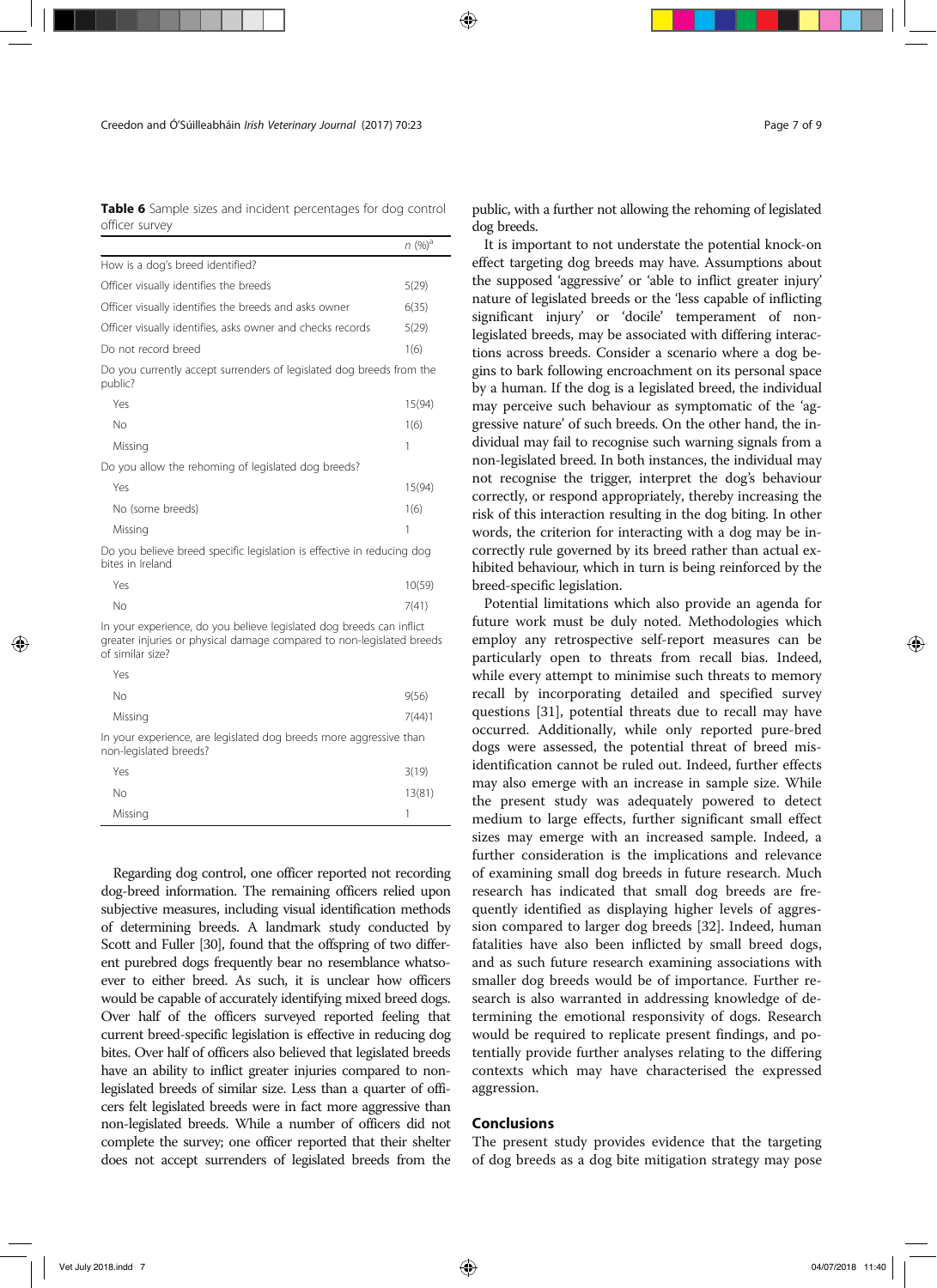Table 6 Sample sizes and incident percentages for dog control officer survey

|                                                                                 | $n (%)^a$ |
|---------------------------------------------------------------------------------|-----------|
| How is a dog's breed identified?                                                |           |
| Officer visually identifies the breeds                                          | 5(29)     |
| Officer visually identifies the breeds and asks owner                           | 6(35)     |
| Officer visually identifies, asks owner and checks records                      | 5(29)     |
| Do not record breed                                                             | 1(6)      |
| Do you currently accept surrenders of legislated dog breeds from the<br>public? |           |
| Yes                                                                             | 15(94)    |
| No                                                                              | 1(6)      |
| Missing                                                                         | 1         |
| Do you allow the rehoming of legislated dog breeds?                             |           |
| Yes                                                                             | 15(94)    |
| No (some breeds)                                                                | 1(6)      |
| Missing                                                                         | 1         |
| Do vou bolious broad specific logislation is offective in reducing dog          |           |

ou believe breed specific legislation is effective in reducing dog bites in Ireland

| Yes       | 10(59) |
|-----------|--------|
| <b>No</b> | 7(41)  |

In your experience, do you believe legislated dog breeds can inflict greater injuries or physical damage compared to non-legislated breeds of similar size?

| Yρς                                                                |        |
|--------------------------------------------------------------------|--------|
| Nο                                                                 | 9(56)  |
| Missing                                                            | 7(44)1 |
| In your experience, are legislated dog breeds more aggressive than |        |

non-legislated breeds?

| Yes       | 3(19)  |
|-----------|--------|
| <b>No</b> | 13(81) |
| Missing   |        |

Regarding dog control, one officer reported not recording dog-breed information. The remaining officers relied upon subjective measures, including visual identification methods of determining breeds. A landmark study conducted by Scott and Fuller [30], found that the offspring of two different purebred dogs frequently bear no resemblance whatsoever to either breed. As such, it is unclear how officers would be capable of accurately identifying mixed breed dogs. Over half of the officers surveyed reported feeling that current breed-specific legislation is effective in reducing dog bites. Over half of officers also believed that legislated breeds have an ability to inflict greater injuries compared to nonlegislated breeds of similar size. Less than a quarter of officers felt legislated breeds were in fact more aggressive than non-legislated breeds. While a number of officers did not complete the survey; one officer reported that their shelter does not accept surrenders of legislated breeds from the

public, with a further not allowing the rehoming of legislated dog breeds.

It is important to not understate the potential knock-on effect targeting dog breeds may have. Assumptions about the supposed 'aggressive' or 'able to inflict greater injury' nature of legislated breeds or the 'less capable of inflicting significant injury' or 'docile' temperament of nonlegislated breeds, may be associated with differing interactions across breeds. Consider a scenario where a dog begins to bark following encroachment on its personal space by a human. If the dog is a legislated breed, the individual may perceive such behaviour as symptomatic of the 'aggressive nature' of such breeds. On the other hand, the individual may fail to recognise such warning signals from a non-legislated breed. In both instances, the individual may not recognise the trigger, interpret the dog's behaviour correctly, or respond appropriately, thereby increasing the risk of this interaction resulting in the dog biting. In other words, the criterion for interacting with a dog may be incorrectly rule governed by its breed rather than actual exhibited behaviour, which in turn is being reinforced by the breed-specific legislation.

Potential limitations which also provide an agenda for future work must be duly noted. Methodologies which employ any retrospective self-report measures can be particularly open to threats from recall bias. Indeed, while every attempt to minimise such threats to memory recall by incorporating detailed and specified survey questions [31], potential threats due to recall may have occurred. Additionally, while only reported pure-bred dogs were assessed, the potential threat of breed misidentification cannot be ruled out. Indeed, further effects may also emerge with an increase in sample size. While the present study was adequately powered to detect medium to large effects, further significant small effect sizes may emerge with an increased sample. Indeed, a further consideration is the implications and relevance of examining small dog breeds in future research. Much research has indicated that small dog breeds are frequently identified as displaying higher levels of aggression compared to larger dog breeds [32]. Indeed, human fatalities have also been inflicted by small breed dogs, and as such future research examining associations with smaller dog breeds would be of importance. Further research is also warranted in addressing knowledge of determining the emotional responsivity of dogs. Research would be required to replicate present findings, and potentially provide further analyses relating to the differing contexts which may have characterised the expressed aggression.

### Conclusions

The present study provides evidence that the targeting of dog breeds as a dog bite mitigation strategy may pose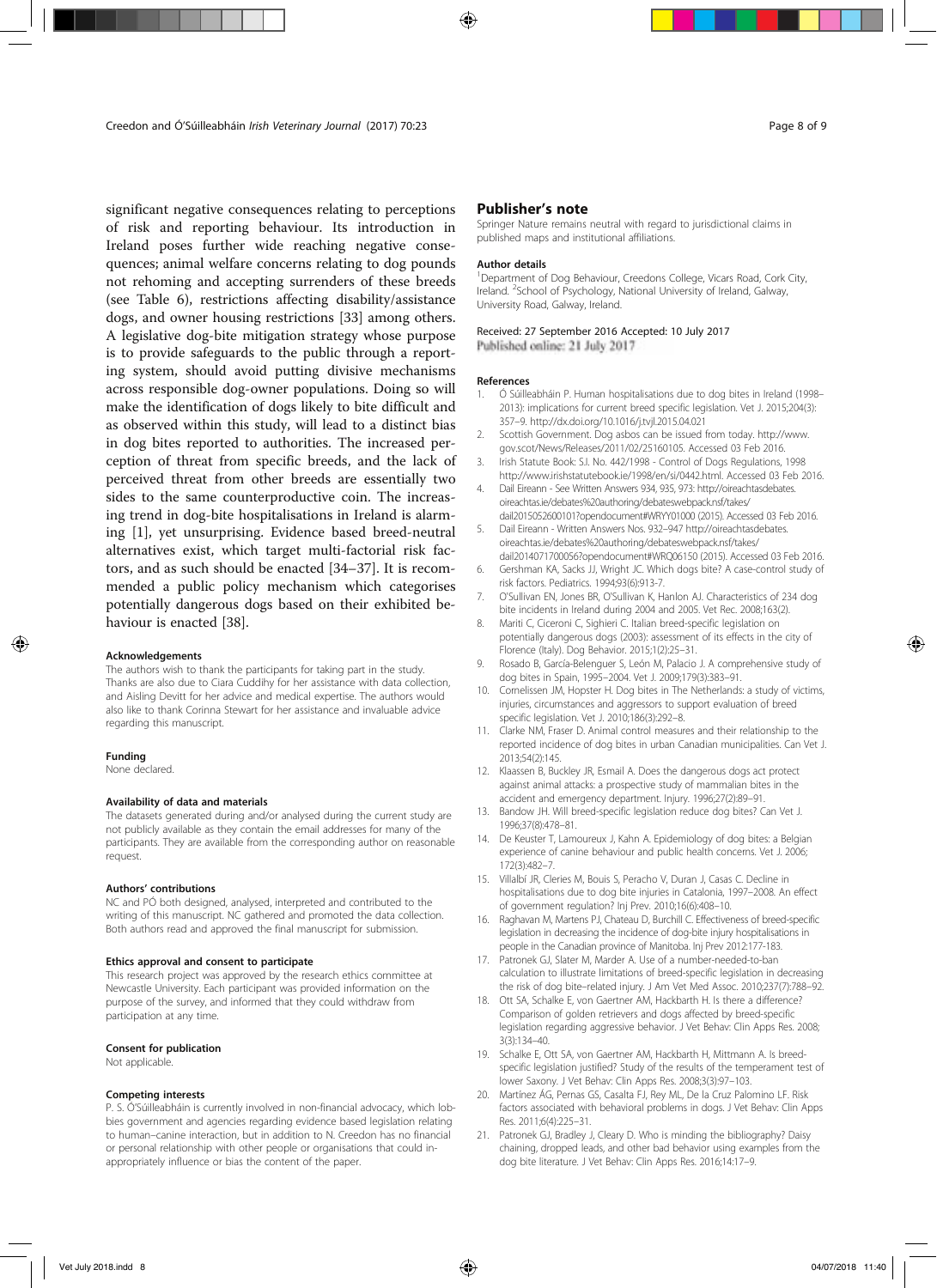significant negative consequences relating to perceptions of risk and reporting behaviour. Its introduction in Ireland poses further wide reaching negative consequences; animal welfare concerns relating to dog pounds not rehoming and accepting surrenders of these breeds (see Table 6), restrictions affecting disability/assistance dogs, and owner housing restrictions [33] among others. A legislative dog-bite mitigation strategy whose purpose is to provide safeguards to the public through a reporting system, should avoid putting divisive mechanisms across responsible dog-owner populations. Doing so will make the identification of dogs likely to bite difficult and as observed within this study, will lead to a distinct bias in dog bites reported to authorities. The increased perception of threat from specific breeds, and the lack of perceived threat from other breeds are essentially two sides to the same counterproductive coin. The increasing trend in dog-bite hospitalisations in Ireland is alarming [1], yet unsurprising. Evidence based breed-neutral alternatives exist, which target multi-factorial risk factors, and as such should be enacted [34–37]. It is recommended a public policy mechanism which categorises potentially dangerous dogs based on their exhibited behaviour is enacted [38].

#### Acknowledgements

The authors wish to thank the participants for taking part in the study. Thanks are also due to Ciara Cuddihy for her assistance with data collection, and Aisling Devitt for her advice and medical expertise. The authors would also like to thank Corinna Stewart for her assistance and invaluable advice regarding this manuscript.

#### Funding

None declared.

#### Availability of data and materials

The datasets generated during and/or analysed during the current study are not publicly available as they contain the email addresses for many of the participants. They are available from the corresponding author on reasonable request.

#### Authors' contributions

NC and PÓ both designed, analysed, interpreted and contributed to the writing of this manuscript. NC gathered and promoted the data collection. Both authors read and approved the final manuscript for submission.

#### Ethics approval and consent to participate

This research project was approved by the research ethics committee at Newcastle University. Each participant was provided information on the purpose of the survey, and informed that they could withdraw from participation at any time.

#### Consent for publication

Not applicable.

#### Competing interests

P. S. Ó'Súilleabháin is currently involved in non-financial advocacy, which lobbies government and agencies regarding evidence based legislation relating to human–canine interaction, but in addition to N. Creedon has no financial or personal relationship with other people or organisations that could inappropriately influence or bias the content of the paper.

#### Publisher's note

Springer Nature remains neutral with regard to jurisdictional claims in published maps and institutional affiliations.

#### Author details

<sup>1</sup>Department of Dog Behaviour, Creedons College, Vicars Road, Cork City, Ireland. <sup>2</sup> School of Psychology, National University of Ireland, Galway, University Road, Galway, Ireland.

# Received: 27 September 2016 Accepted: 10 July 2017

Published online: 21 July 2017

#### References

- 1. Ó Súilleabháin P. Human hospitalisations due to dog bites in Ireland (1998– 2013): implications for current breed specific legislation. Vet J. 2015;204(3): 357–9. http://dx.doi.org/10.1016/j.tvjl.2015.04.021
- 2. Scottish Government. Dog asbos can be issued from today. http://www. gov.scot/News/Releases/2011/02/25160105. Accessed 03 Feb 2016.
- 3. Irish Statute Book: S.I. No. 442/1998 Control of Dogs Regulations, 1998 http://www.irishstatutebook.ie/1998/en/si/0442.html. Accessed 03 Feb 2016.
- 4. Dail Eireann See Written Answers 934, 935, 973: http://oireachtasdebates. oireachtas.ie/debates%20authoring/debateswebpack.nsf/takes/ dail2015052600101?opendocument#WRYY01000 (2015). Accessed 03 Feb 2016.
- 5. Dail Eireann Written Answers Nos. 932–947 http://oireachtasdebates. oireachtas.ie/debates%20authoring/debateswebpack.nsf/takes/ dail2014071700056?opendocument#WRQ06150 (2015). Accessed 03 Feb 2016.
- 6. Gershman KA, Sacks JJ, Wright JC. Which dogs bite? A case-control study of risk factors. Pediatrics. 1994;93(6):913-7.
- 7. O'Sullivan EN, Jones BR, O'Sullivan K, Hanlon AJ. Characteristics of 234 dog bite incidents in Ireland during 2004 and 2005. Vet Rec. 2008;163(2).
- 8. Mariti C, Ciceroni C, Sighieri C. Italian breed-specific legislation on potentially dangerous dogs (2003): assessment of its effects in the city of Florence (Italy). Dog Behavior. 2015;1(2):25–31.
- 9. Rosado B, García-Belenguer S, León M, Palacio J. A comprehensive study of dog bites in Spain, 1995–2004. Vet J. 2009;179(3):383–91.
- 10. Cornelissen JM, Hopster H. Dog bites in The Netherlands: a study of victims, injuries, circumstances and aggressors to support evaluation of breed specific legislation. Vet J. 2010;186(3):292–8.
- 11. Clarke NM, Fraser D. Animal control measures and their relationship to the reported incidence of dog bites in urban Canadian municipalities. Can Vet J. 2013;54(2):145.
- 12. Klaassen B, Buckley JR, Esmail A. Does the dangerous dogs act protect against animal attacks: a prospective study of mammalian bites in the accident and emergency department. Injury. 1996;27(2):89–91.
- 13. Bandow JH. Will breed-specific legislation reduce dog bites? Can Vet J. 1996;37(8):478–81.
- 14. De Keuster T, Lamoureux J, Kahn A. Epidemiology of dog bites: a Belgian experience of canine behaviour and public health concerns. Vet J. 2006; 172(3):482–7.
- 15. Villalbí JR, Cleries M, Bouis S, Peracho V, Duran J, Casas C. Decline in hospitalisations due to dog bite injuries in Catalonia, 1997–2008. An effect of government regulation? Inj Prev. 2010;16(6):408–10.
- 16. Raghavan M, Martens PJ, Chateau D, Burchill C. Effectiveness of breed-specific legislation in decreasing the incidence of dog-bite injury hospitalisations in people in the Canadian province of Manitoba. Inj Prev 2012:177-183.
- 17. Patronek GJ, Slater M, Marder A. Use of a number-needed-to-ban calculation to illustrate limitations of breed-specific legislation in decreasing the risk of dog bite–related injury. J Am Vet Med Assoc. 2010;237(7):788–92.
- 18. Ott SA, Schalke E, von Gaertner AM, Hackbarth H. Is there a difference? Comparison of golden retrievers and dogs affected by breed-specific legislation regarding aggressive behavior. J Vet Behav: Clin Apps Res. 2008; 3(3):134–40.
- 19. Schalke E, Ott SA, von Gaertner AM, Hackbarth H, Mittmann A. Is breedspecific legislation justified? Study of the results of the temperament test of lower Saxony. J Vet Behav: Clin Apps Res. 2008;3(3):97–103.
- 20. Martínez ÁG, Pernas GS, Casalta FJ, Rey ML, De la Cruz Palomino LF. Risk factors associated with behavioral problems in dogs. J Vet Behav: Clin Apps Res. 2011;6(4):225–31.
- 21. Patronek GJ, Bradley J, Cleary D. Who is minding the bibliography? Daisy chaining, dropped leads, and other bad behavior using examples from the dog bite literature. J Vet Behav: Clin Apps Res. 2016;14:17–9.